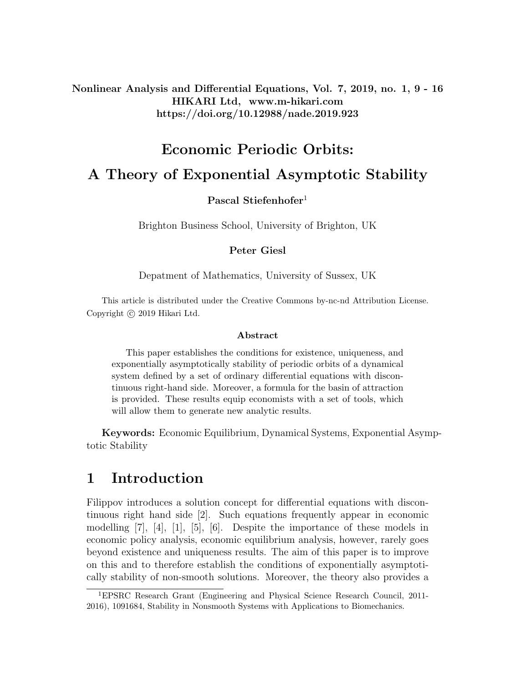Nonlinear Analysis and Differential Equations, Vol. 7, 2019, no. 1, 9 - 16 HIKARI Ltd, www.m-hikari.com https://doi.org/10.12988/nade.2019.923

# Economic Periodic Orbits: A Theory of Exponential Asymptotic Stability

### Pascal Stiefenhofer<sup>1</sup>

Brighton Business School, University of Brighton, UK

#### Peter Giesl

Depatment of Mathematics, University of Sussex, UK

This article is distributed under the Creative Commons by-nc-nd Attribution License. Copyright (c) 2019 Hikari Ltd.

#### Abstract

This paper establishes the conditions for existence, uniqueness, and exponentially asymptotically stability of periodic orbits of a dynamical system defined by a set of ordinary differential equations with discontinuous right-hand side. Moreover, a formula for the basin of attraction is provided. These results equip economists with a set of tools, which will allow them to generate new analytic results.

Keywords: Economic Equilibrium, Dynamical Systems, Exponential Asymptotic Stability

## 1 Introduction

Filippov introduces a solution concept for differential equations with discontinuous right hand side [2]. Such equations frequently appear in economic modelling  $[7], [4], [1], [5], [6].$  Despite the importance of these models in economic policy analysis, economic equilibrium analysis, however, rarely goes beyond existence and uniqueness results. The aim of this paper is to improve on this and to therefore establish the conditions of exponentially asymptotically stability of non-smooth solutions. Moreover, the theory also provides a

<sup>1</sup>EPSRC Research Grant (Engineering and Physical Science Research Council, 2011- 2016), 1091684, Stability in Nonsmooth Systems with Applications to Biomechanics.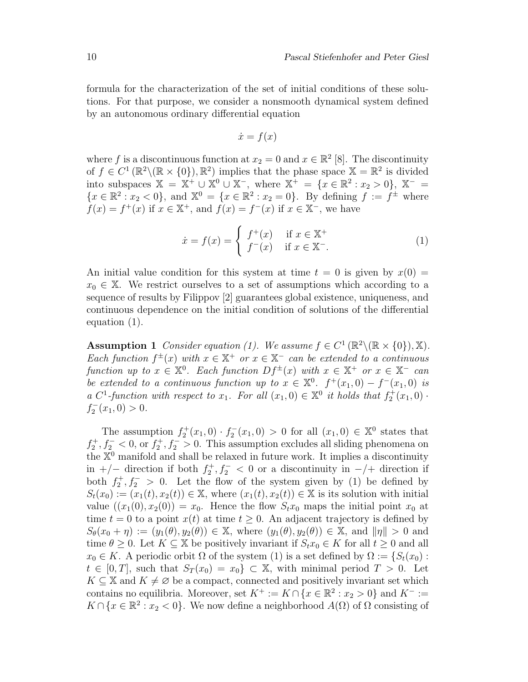formula for the characterization of the set of initial conditions of these solutions. For that purpose, we consider a nonsmooth dynamical system defined by an autonomous ordinary differential equation

$$
\dot{x} = f(x)
$$

where f is a discontinuous function at  $x_2 = 0$  and  $x \in \mathbb{R}^2$  [8]. The discontinuity of  $f \in C^1(\mathbb{R}^2 \setminus (\mathbb{R} \times \{0\}), \mathbb{R}^2)$  implies that the phase space  $\mathbb{X} = \mathbb{R}^2$  is divided into subspaces  $\mathbb{X} = \mathbb{X}^+ \cup \mathbb{X}^0 \cup \mathbb{X}^-$ , where  $\mathbb{X}^+ = \{x \in \mathbb{R}^2 : x_2 > 0\}$ ,  $\mathbb{X}^- =$  ${x \in \mathbb{R}^2 : x_2 < 0}$ , and  $\mathbb{X}^0 = {x \in \mathbb{R}^2 : x_2 = 0}$ . By defining  $f := f^{\pm}$  where  $f(x) = f^{+}(x)$  if  $x \in \mathbb{X}^{+}$ , and  $f(x) = f^{-}(x)$  if  $x \in \mathbb{X}^{-}$ , we have

$$
\dot{x} = f(x) = \begin{cases} f^+(x) & \text{if } x \in \mathbb{X}^+ \\ f^-(x) & \text{if } x \in \mathbb{X}^- \end{cases} \tag{1}
$$

An initial value condition for this system at time  $t = 0$  is given by  $x(0) =$  $x_0 \in \mathbb{X}$ . We restrict ourselves to a set of assumptions which according to a sequence of results by Filippov [2] guarantees global existence, uniqueness, and continuous dependence on the initial condition of solutions of the differential equation (1).

**Assumption 1** Consider equation (1). We assume  $f \in C^1(\mathbb{R}^2 \setminus (\mathbb{R} \times \{0\}), \mathbb{X})$ . Each function  $f^{\pm}(x)$  with  $x \in \mathbb{X}^+$  or  $x \in \mathbb{X}^-$  can be extended to a continuous function up to  $x \in \mathbb{X}^0$ . Each function  $Df^{\pm}(x)$  with  $x \in \mathbb{X}^+$  or  $x \in \mathbb{X}^-$  can be extended to a continuous function up to  $x \in \mathbb{X}^0$ .  $f^+(x_1, 0) - f^-(x_1, 0)$  is a C<sup>1</sup>-function with respect to  $x_1$ . For all  $(x_1, 0) \in \mathbb{X}^0$  it holds that  $f_2^+(x_1, 0)$ .  $f_2^-(x_1,0) > 0.$ 

The assumption  $f_2^+(x_1,0) \cdot f_2^-(x_1,0) > 0$  for all  $(x_1,0) \in \mathbb{X}^0$  states that  $f_2^+, f_2^- < 0$ , or  $f_2^+, f_2^- > 0$ . This assumption excludes all sliding phenomena on the  $\mathbb{X}^0$  manifold and shall be relaxed in future work. It implies a discontinuity in +/- direction if both  $f_2^+, f_2^- < 0$  or a discontinuity in -/+ direction if both  $f_2^+, f_2^- > 0$ . Let the flow of the system given by (1) be defined by  $S_t(x_0) := (x_1(t), x_2(t)) \in \mathbb{X}$ , where  $(x_1(t), x_2(t)) \in \mathbb{X}$  is its solution with initial value  $((x_1(0), x_2(0)) = x_0$ . Hence the flow  $S_t x_0$  maps the initial point  $x_0$  at time  $t = 0$  to a point  $x(t)$  at time  $t \geq 0$ . An adjacent trajectory is defined by  $S_{\theta}(x_0 + \eta) := (y_1(\theta), y_2(\theta)) \in \mathbb{X}$ , where  $(y_1(\theta), y_2(\theta)) \in \mathbb{X}$ , and  $\|\eta\| > 0$  and time  $\theta \geq 0$ . Let  $K \subseteq \mathbb{X}$  be positively invariant if  $S_t x_0 \in K$  for all  $t \geq 0$  and all  $x_0 \in K$ . A periodic orbit  $\Omega$  of the system (1) is a set defined by  $\Omega := \{S_t(x_0):$  $t \in [0, T]$ , such that  $S_T(x_0) = x_0$   $\subset \mathbb{X}$ , with minimal period  $T > 0$ . Let  $K \subseteq \mathbb{X}$  and  $K \neq \emptyset$  be a compact, connected and positively invariant set which contains no equilibria. Moreover, set  $K^+ := K \cap \{x \in \mathbb{R}^2 : x_2 > 0\}$  and  $K^- :=$  $K \cap \{x \in \mathbb{R}^2 : x_2 < 0\}$ . We now define a neighborhood  $A(\Omega)$  of  $\Omega$  consisting of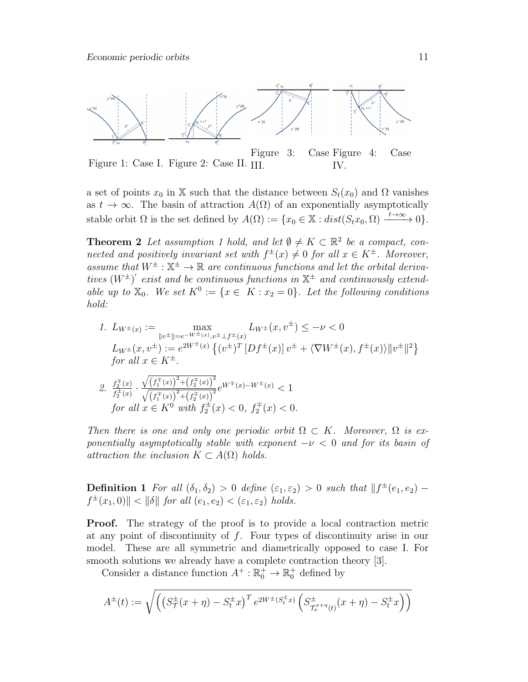

Figure 1: Case I. Figure 2: Case II. III. Figure 3: Case Figure 4: Case IV.

a set of points  $x_0$  in X such that the distance between  $S_t(x_0)$  and  $\Omega$  vanishes as  $t \to \infty$ . The basin of attraction  $A(\Omega)$  of an exponentially asymptotically stable orbit  $\Omega$  is the set defined by  $A(\Omega) := \{x_0 \in \mathbb{X} : dist(S_t x_0, \Omega) \xrightarrow{t \to \infty} 0\}.$ 

**Theorem 2** Let assumption 1 hold, and let  $\emptyset \neq K \subset \mathbb{R}^2$  be a compact, connected and positively invariant set with  $f^{\pm}(x) \neq 0$  for all  $x \in K^{\pm}$ . Moreover, assume that  $W^{\pm}$  :  $\mathbb{X}^{\pm} \to \mathbb{R}$  are continuous functions and let the orbital derivatives  $(W^{\pm})'$  exist and be continuous functions in  $\mathbb{X}^{\pm}$  and continuously extendable up to  $\mathbb{X}_0$ . We set  $K^0 := \{x \in K : x_2 = 0\}$ . Let the following conditions hold:

1.  $L_{W^{\pm}(x)} := \max_{w \in W}$  $\max_{\|v^{\pm}\| = e^{-W^{\pm}(x)}, v^{\pm} \perp f^{\pm}(x)} L_{W^{\pm}}(x, v^{\pm}) \le -\nu < 0$  $L_{W^{\pm}}(x,v^{\pm}) := e^{2W^{\pm}(x)} \left\{ (v^{\pm})^T \left[ Df^{\pm}(x) \right] v^{\pm} + \langle \nabla W^{\pm}(x), f^{\pm}(x) \rangle ||v^{\pm}||^2 \right\}$ for all  $x \in K^{\pm}$ .

2. 
$$
\frac{f_2^{\pm}(x)}{f_2^{\pm}(x)} \cdot \frac{\sqrt{\left(f_1^{\pm}(x)\right)^2 + \left(f_2^{\pm}(x)\right)^2}}{\sqrt{\left(f_1^{\pm}(x)\right)^2 + \left(f_2^{\pm}(x)\right)^2}} e^{W^{\pm}(x) - W^{\pm}(x)} < 1
$$
  
for all  $x \in K^0$  with  $f_2^{\pm}(x) < 0$ ,  $f_2^{\pm}(x) < 0$ .

Then there is one and only one periodic orbit  $\Omega \subset K$ . Moreover,  $\Omega$  is exponentially asymptotically stable with exponent  $-\nu < 0$  and for its basin of attraction the inclusion  $K \subset A(\Omega)$  holds.

**Definition 1** For all  $(\delta_1, \delta_2) > 0$  define  $(\epsilon_1, \epsilon_2) > 0$  such that  $||f^{\pm}(e_1, e_2)$  $f^{\pm}(x_1,0)$ ||  $\lt$  || $\delta$ || for all  $(e_1, e_2)$   $\lt$   $(\varepsilon_1, \varepsilon_2)$  holds.

Proof. The strategy of the proof is to provide a local contraction metric at any point of discontinuity of  $f$ . Four types of discontinuity arise in our model. These are all symmetric and diametrically opposed to case I. For smooth solutions we already have a complete contraction theory [3].

Consider a distance function  $A^+ : \mathbb{R}_0^+ \to \mathbb{R}_0^+$  defined by

$$
A^{\pm}(t) := \sqrt{\left( \left( S^{\pm}_{\mathcal{T}}(x+\eta) - S^{\pm}_{t} x \right)^{T} e^{2W^{\pm}(S^{\pm}_{t} x)} \left( S^{\pm}_{\mathcal{T}_{x}^{x+\eta}(t)}(x+\eta) - S^{\pm}_{t} x \right) \right)}
$$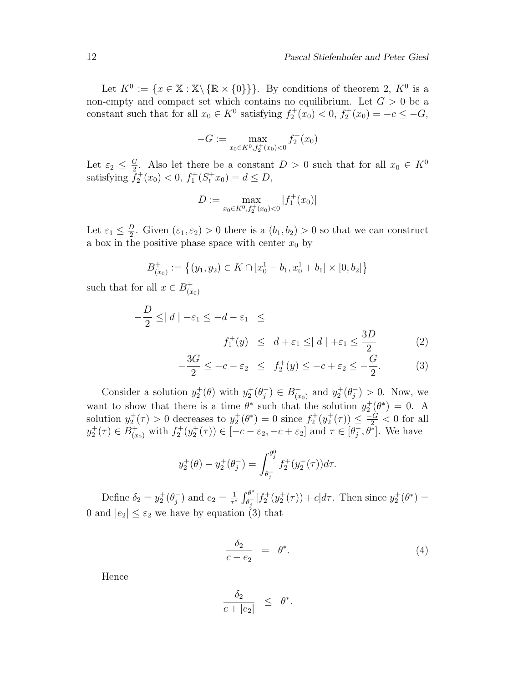Let  $K^0 := \{x \in \mathbb{X} : \mathbb{X} \setminus \{\mathbb{R} \times \{0\}\}\}\.$  By conditions of theorem 2,  $K^0$  is a non-empty and compact set which contains no equilibrium. Let  $G > 0$  be a constant such that for all  $x_0 \in K^0$  satisfying  $f_2^+(x_0) < 0$ ,  $f_2^+(x_0) = -c \leq -G$ ,

$$
-G := \max_{x_0 \in K^0, f_2^+(x_0) < 0} f_2^+(x_0)
$$

Let  $\varepsilon_2 \leq \frac{G}{2}$  $\frac{G}{2}$ . Also let there be a constant  $D > 0$  such that for all  $x_0 \in K^0$ satisfying  $\tilde{f}_2^+(x_0) < 0$ ,  $f_1^+(S_t^+x_0) = d \le D$ ,

$$
D := \max_{x_0 \in K^0, f_2^+(x_0) < 0} |f_1^+(x_0)|
$$

Let  $\varepsilon_1 \leq \frac{D}{2}$  $\frac{D}{2}$ . Given  $(\varepsilon_1, \varepsilon_2) > 0$  there is a  $(b_1, b_2) > 0$  so that we can construct a box in the positive phase space with center  $x_0$  by

$$
B_{(x_0)}^+ := \left\{ (y_1, y_2) \in K \cap [x_0^1 - b_1, x_0^1 + b_1] \times [0, b_2] \right\}
$$

such that for all  $x \in B_{r}^+$  $(x_0)$ 

$$
-\frac{D}{2} \le |d| - \varepsilon_1 \le -d - \varepsilon_1 \le
$$
  

$$
f_1^+(y) \le d + \varepsilon_1 \le |d| + \varepsilon_1 \le \frac{3D}{2}
$$
 (2)

$$
-\frac{3G}{2} \le -c - \varepsilon_2 \le f_2^+(y) \le -c + \varepsilon_2 \le -\frac{G}{2}.\tag{3}
$$

Consider a solution  $y_2^+(\theta)$  with  $y_2^+(\theta_j^-)$  $j^{-}) \in B_{(x)}^{+}$  $y_2^+(x_0)$  and  $y_2^+(\theta_j^-)$  $j \choose j > 0$ . Now, we want to show that there is a time  $\theta^*$  such that the solution  $y_2^+(\theta^*)=0$ . A solution  $y_2^+(\tau) > 0$  decreases to  $y_2^+(\theta^*) = 0$  since  $f_2^+(y_2^+(\tau)) \leq \frac{-G}{2} < 0$  for all  $y_2^+(\tau) \in B^+_{(x_0)}$  with  $f_2^+(y_2^+(\tau)) \in [-c - \varepsilon_2, -c + \varepsilon_2]$  and  $\tau \in [\theta_j^-]$  $\overline{j}$ ,  $\theta^*$ . We have

$$
y_2^+(\theta) - y_2^+(\theta_j^-) = \int_{\theta_j^-}^{\theta_j^0} f_2^+(y_2^+(\tau))d\tau.
$$

Define  $\delta_2 = y_2^+(\theta_j^-)$  $\frac{1}{j}$  and  $e_2 = \frac{1}{\tau}$  $rac{1}{\tau^*} \int_{\theta_i^-}^{\theta^*}$  $e^{\theta^*}_{\theta^*} [f_2^+(y_2^+(\tau)) + c] d\tau$ . Then since  $y_2^+(\theta^*) =$ 0 and  $|e_2| \leq \varepsilon_2$  we have by equation (3) that

$$
\frac{\delta_2}{c - e_2} = \theta^*.
$$
\n(4)

Hence

$$
\frac{\delta_2}{c+|e_2|} \leq \theta^*.
$$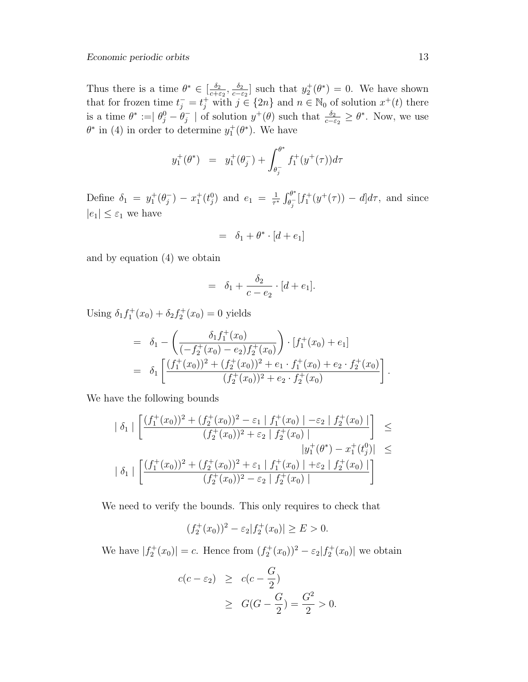Thus there is a time  $\theta^* \in \left[\frac{\delta_2}{\delta_1 + \delta_2}\right]$  $\frac{\delta_2}{c+\varepsilon_2},\frac{\delta_2}{c-\varepsilon}$  $\frac{\delta_2}{c-\epsilon_2}$  such that  $y_2^+(\theta^*)=0$ . We have shown that for frozen time  $t_j^- = t_j^+$  with  $j \in \{2n\}$  and  $n \in \mathbb{N}_0$  of solution  $x^+(t)$  there is a time  $\theta^* := \theta_j^0 - \theta_j^ _j^-$  | of solution  $y^+(\theta)$  such that  $\frac{\delta_2}{c-\epsilon_2} \geq \theta^*$ . Now, we use  $\theta^*$  in (4) in order to determine  $y_1^+(\theta^*)$ . We have

$$
y_1^+(\theta^*) = y_1^+(\theta_j^-) + \int_{\theta_j^-}^{\theta^*} f_1^+(y^+(\tau))d\tau
$$

Define  $\delta_1 = y_1^+(\theta_j^-)$  $j^{-}$ ) –  $x_{1}^{+}(t_{j}^{0})$  and  $e_{1} = \frac{1}{\tau^{3}}$  $\frac{1}{\tau^*} \int_{\theta_i^-}^{\theta^*}$  $\frac{\partial^{\sigma}}{\partial q} [f_1^+(y^+(\tau)) - d] d\tau$ , and since  $|e_1| \leq \varepsilon_1$  we have

$$
= \delta_1 + \theta^* \cdot [d + e_1]
$$

and by equation (4) we obtain

$$
= \delta_1 + \frac{\delta_2}{c - e_2} \cdot [d + e_1].
$$

Using  $\delta_1 f_1^+(x_0) + \delta_2 f_2^+(x_0) = 0$  yields

$$
= \delta_1 - \left( \frac{\delta_1 f_1^+(x_0)}{(-f_2^+(x_0) - e_2) f_2^+(x_0)} \right) \cdot [f_1^+(x_0) + e_1]
$$
  

$$
= \delta_1 \left[ \frac{(f_1^+(x_0))^2 + (f_2^+(x_0))^2 + e_1 \cdot f_1^+(x_0) + e_2 \cdot f_2^+(x_0)}{(f_2^+(x_0))^2 + e_2 \cdot f_2^+(x_0)} \right].
$$

We have the following bounds

$$
\begin{array}{|r|l|l|}\n\hline\n\delta_1 & \left[ \frac{(f_1^+(x_0))^2 + (f_2^+(x_0))^2 - \varepsilon_1 \mid f_1^+(x_0) \mid -\varepsilon_2 \mid f_2^+(x_0) \mid}{(f_2^+(x_0))^2 + \varepsilon_2 \mid f_2^+(x_0) \mid} \right] & \leq \\
& & \quad |y_1^+(\theta^*) - x_1^+(t_0^0)| \leq \\
\hline\n\delta_1 & \left[ \frac{(f_1^+(x_0))^2 + (f_2^+(x_0))^2 + \varepsilon_1 \mid f_1^+(x_0) \mid +\varepsilon_2 \mid f_2^+(x_0) \mid}{(f_2^+(x_0))^2 - \varepsilon_2 \mid f_2^+(x_0) \mid} \right]\n\hline\n\end{array}
$$

We need to verify the bounds. This only requires to check that

$$
(f_2^+(x_0))^2 - \varepsilon_2 |f_2^+(x_0)| \ge E > 0.
$$

We have  $|f_2^+(x_0)| = c$ . Hence from  $(f_2^+(x_0))^2 - \varepsilon_2 |f_2^+(x_0)|$  we obtain

$$
c(c - \varepsilon_2) \ge c(c - \frac{G}{2})
$$
  
 
$$
\ge G(G - \frac{G}{2}) = \frac{G^2}{2} > 0.
$$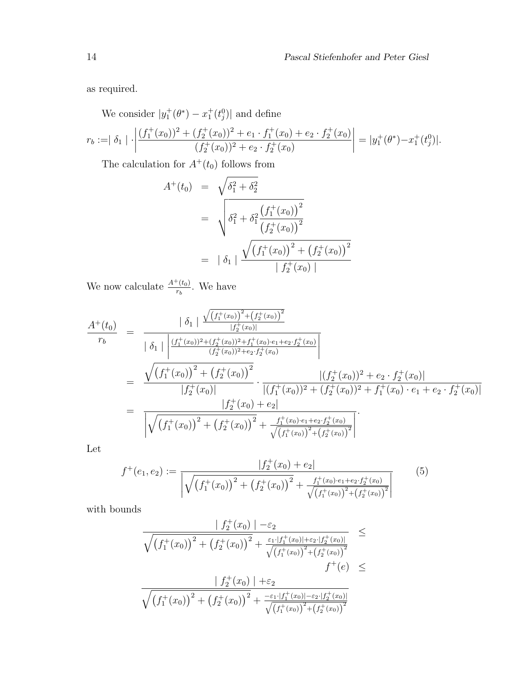as required.

We consider  $|y_1^+(\theta^*) - x_1^+(t_j^0)|$  and define

$$
r_b := |\delta_1| \cdot \left| \frac{(f_1^+(x_0))^2 + (f_2^+(x_0))^2 + e_1 \cdot f_1^+(x_0) + e_2 \cdot f_2^+(x_0)}{(f_2^+(x_0))^2 + e_2 \cdot f_2^+(x_0)} \right| = |y_1^+(\theta^*) - x_1^+(t_0^0)|.
$$

The calculation for  $A^+(t_0)$  follows from

$$
A^{+}(t_0) = \sqrt{\delta_1^2 + \delta_2^2}
$$
  
= 
$$
\sqrt{\delta_1^2 + \delta_1^2 \frac{(f_1^{+}(x_0))^2}{(f_2^{+}(x_0))^2}}
$$
  
= 
$$
|\delta_1| \frac{\sqrt{(f_1^{+}(x_0))^2 + (f_2^{+}(x_0))^2}}{|f_2^{+}(x_0)|}
$$

We now calculate  $\frac{A^+(t_0)}{r_b}$ . We have

$$
\frac{A^{+}(t_{0})}{r_{b}} = \frac{|\delta_{1}| \frac{\sqrt{(f_{1}^{+}(x_{0}))^{2} + (f_{2}^{+}(x_{0}))^{2}}{|f_{2}^{+}(x_{0})|}}{|\delta_{1}| \left|\frac{(f_{1}^{+}(x_{0}))^{2} + (f_{2}^{+}(x_{0}))^{2} + f_{1}^{+}(x_{0}) \cdot e_{1} + e_{2} \cdot f_{2}^{+}(x_{0})}{(f_{2}^{+}(x_{0}))^{2} + e_{2} \cdot f_{2}^{+}(x_{0})}\right|}
$$
\n
$$
= \frac{\sqrt{(f_{1}^{+}(x_{0}))^{2} + (f_{2}^{+}(x_{0}))^{2}}{|f_{2}^{+}(x_{0})|} \cdot \frac{|(f_{2}^{+}(x_{0}))^{2} + e_{2} \cdot f_{2}^{+}(x_{0})|}{|(f_{1}^{+}(x_{0}))^{2} + (f_{2}^{+}(x_{0}))^{2} + f_{1}^{+}(x_{0}) \cdot e_{1} + e_{2} \cdot f_{2}^{+}(x_{0})|}
$$
\n
$$
= \frac{|f_{2}^{+}(x_{0}) + e_{2}|}{\sqrt{(f_{1}^{+}(x_{0}))^{2} + (f_{2}^{+}(x_{0}))^{2} + \frac{f_{1}^{+}(x_{0}) \cdot e_{1} + e_{2} \cdot f_{2}^{+}(x_{0})}{\sqrt{(f_{1}^{+}(x_{0}))^{2} + (f_{2}^{+}(x_{0}))^{2}}}}.
$$

Let

$$
f^+(e_1, e_2) := \frac{|f_2^+(x_0) + e_2|}{\sqrt{\left(f_1^+(x_0)\right)^2 + \left(f_2^+(x_0)\right)^2 + \frac{f_1^+(x_0) \cdot e_1 + e_2 \cdot f_2^+(x_0)}{\sqrt{\left(f_1^+(x_0)\right)^2 + \left(f_2^+(x_0)\right)^2}}}} \tag{5}
$$

with bounds

$$
\frac{|f_2^+(x_0)| - \varepsilon_2}{\sqrt{\left(f_1^+(x_0)\right)^2 + \left(f_2^+(x_0)\right)^2 + \frac{\varepsilon_1 \cdot |f_1^+(x_0)| + \varepsilon_2 \cdot |f_2^+(x_0)|}{\sqrt{\left(f_1^+(x_0)\right)^2 + \left(f_2^+(x_0)\right)^2}}}} \leq
$$
\n
$$
\frac{|f_2^+(x_0)| + \varepsilon_2}{\sqrt{\left(f_1^+(x_0)\right)^2 + \left(f_2^+(x_0)\right)^2 + \frac{-\varepsilon_1 \cdot |f_1^+(x_0)| - \varepsilon_2 \cdot |f_2^+(x_0)|}{\sqrt{\left(f_1^+(x_0)\right)^2 + \left(f_2^+(x_0)\right)^2}}}} \leq
$$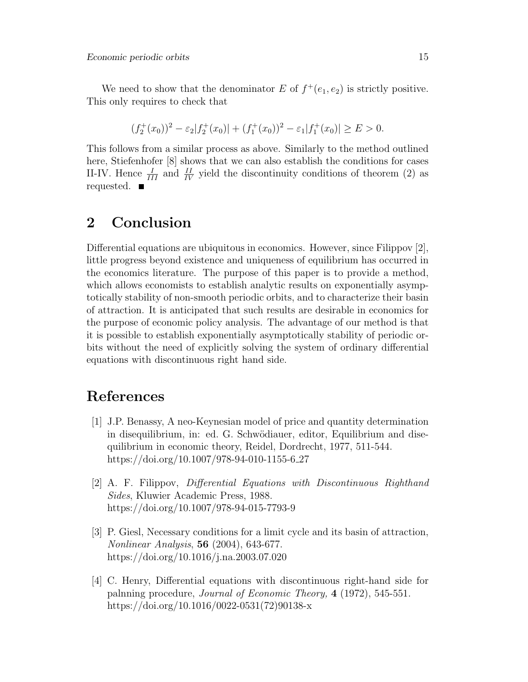We need to show that the denominator E of  $f^+(e_1, e_2)$  is strictly positive. This only requires to check that

$$
(f_2^+(x_0))^2 - \varepsilon_2 |f_2^+(x_0)| + (f_1^+(x_0))^2 - \varepsilon_1 |f_1^+(x_0)| \ge E > 0.
$$

This follows from a similar process as above. Similarly to the method outlined here, Stiefenhofer [8] shows that we can also establish the conditions for cases II-IV. Hence  $\frac{I}{III}$  and  $\frac{II}{IV}$  yield the discontinuity conditions of theorem (2) as requested.  $\blacksquare$ 

## 2 Conclusion

Differential equations are ubiquitous in economics. However, since Filippov [2], little progress beyond existence and uniqueness of equilibrium has occurred in the economics literature. The purpose of this paper is to provide a method, which allows economists to establish analytic results on exponentially asymptotically stability of non-smooth periodic orbits, and to characterize their basin of attraction. It is anticipated that such results are desirable in economics for the purpose of economic policy analysis. The advantage of our method is that it is possible to establish exponentially asymptotically stability of periodic orbits without the need of explicitly solving the system of ordinary differential equations with discontinuous right hand side.

## References

- [1] J.P. Benassy, A neo-Keynesian model of price and quantity determination in disequilibrium, in: ed. G. Schwödiauer, editor, Equilibrium and disequilibrium in economic theory, Reidel, Dordrecht, 1977, 511-544. https://doi.org/10.1007/978-94-010-1155-6 27
- [2] A. F. Filippov, Differential Equations with Discontinuous Righthand Sides, Kluwier Academic Press, 1988. https://doi.org/10.1007/978-94-015-7793-9
- [3] P. Giesl, Necessary conditions for a limit cycle and its basin of attraction, Nonlinear Analysis, 56 (2004), 643-677. https://doi.org/10.1016/j.na.2003.07.020
- [4] C. Henry, Differential equations with discontinuous right-hand side for palnning procedure, Journal of Economic Theory, 4 (1972), 545-551. https://doi.org/10.1016/0022-0531(72)90138-x